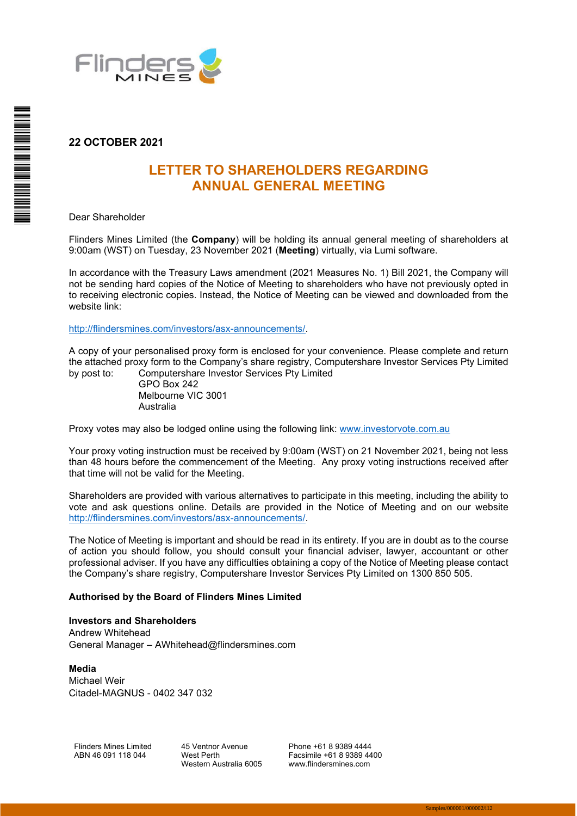

# **22 OCTOBER 2021**

# **LETTER TO SHAREHOLDERS REGARDING ANNUAL GENERAL MEETING**

Dear Shareholder

Flinders Mines Limited (the **Company**) will be holding its annual general meeting of shareholders at 9:00am (WST) on Tuesday, 23 November 2021 (**Meeting**) virtually, via Lumi software.

In accordance with the Treasury Laws amendment (2021 Measures No. 1) Bill 2021, the Company will not be sending hard copies of the Notice of Meeting to shareholders who have not previously opted in to receiving electronic copies. Instead, the Notice of Meeting can be viewed and downloaded from the website link:

http://flindersmines.com/investors/asx-announcements/.

A copy of your personalised proxy form is enclosed for your convenience. Please complete and return the attached proxy form to the Company's share registry, Computershare Investor Services Pty Limited by post to: Computershare Investor Services Pty Limited

GPO Box 242 Melbourne VIC 3001 Australia

Proxy votes may also be lodged online using the following link: www.investorvote.com.au

Your proxy voting instruction must be received by 9:00am (WST) on 21 November 2021, being not less than 48 hours before the commencement of the Meeting. Any proxy voting instructions received after that time will not be valid for the Meeting.

Shareholders are provided with various alternatives to participate in this meeting, including the ability to vote and ask questions online. Details are provided in the Notice of Meeting and on our website http://flindersmines.com/investors/asx-announcements/.

The Notice of Meeting is important and should be read in its entirety. If you are in doubt as to the course of action you should follow, you should consult your financial adviser, lawyer, accountant or other professional adviser. If you have any difficulties obtaining a copy of the Notice of Meeting please contact the Company's share registry, Computershare Investor Services Pty Limited on 1300 850 505.

### **Authorised by the Board of Flinders Mines Limited**

## **Investors and Shareholders**

Andrew Whitehead General Manager – AWhitehead@flindersmines.com

**Media**  Michael Weir Citadel-MAGNUS - 0402 347 032

Flinders Mines Limited ABN 46 091 118 044

45 Ventnor Avenue West Perth Western Australia 6005

Phone +61 8 9389 4444 Facsimile +61 8 9389 4400 www.flindersmines.com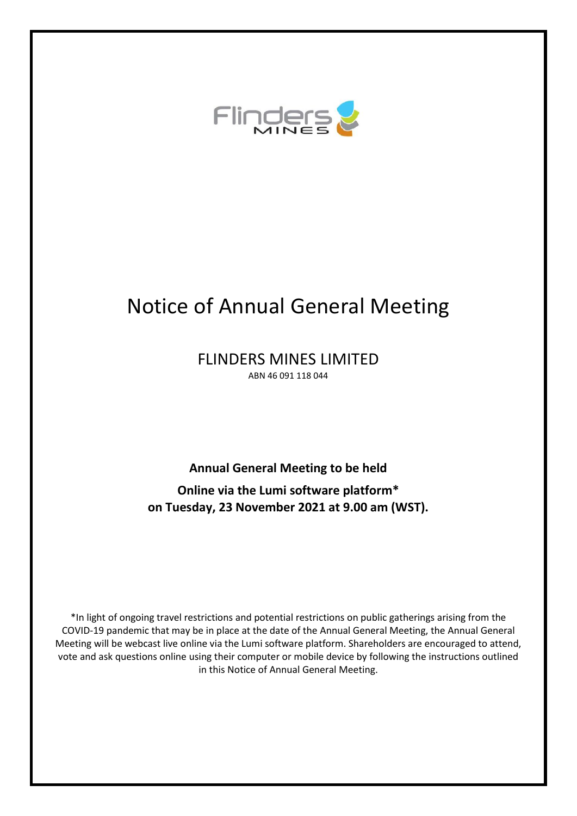

# Notice of Annual General Meeting

FLINDERS MINES LIMITED ABN 46 091 118 044

**Annual General Meeting to be held** 

**Online via the Lumi software platform\* on Tuesday, 23 November 2021 at 9.00 am (WST).**

\*In light of ongoing travel restrictions and potential restrictions on public gatherings arising from the COVID-19 pandemic that may be in place at the date of the Annual General Meeting, the Annual General Meeting will be webcast live online via the Lumi software platform. Shareholders are encouraged to attend, vote and ask questions online using their computer or mobile device by following the instructions outlined in this Notice of Annual General Meeting.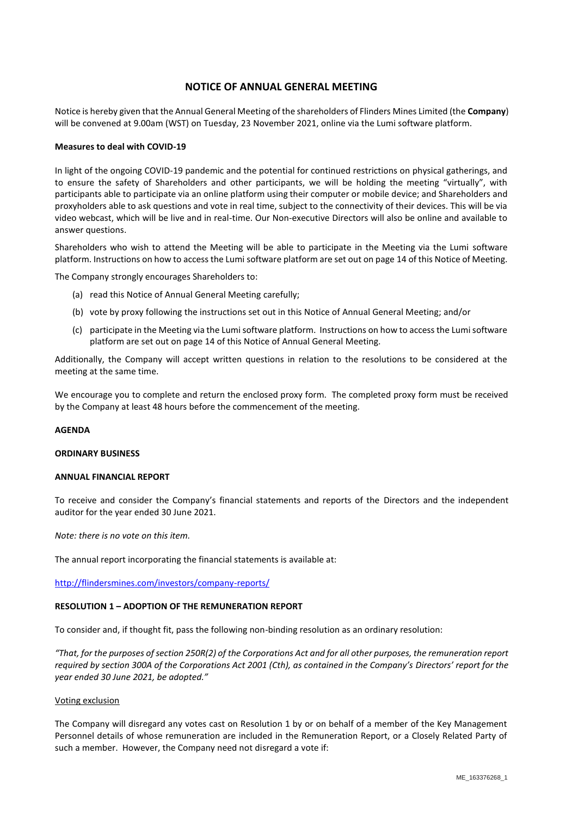## **NOTICE OF ANNUAL GENERAL MEETING**

Notice is hereby given that the Annual General Meeting of the shareholders of Flinders Mines Limited (the **Company**) will be convened at 9.00am (WST) on Tuesday, 23 November 2021, online via the Lumi software platform.

#### **Measures to deal with COVID-19**

In light of the ongoing COVID-19 pandemic and the potential for continued restrictions on physical gatherings, and to ensure the safety of Shareholders and other participants, we will be holding the meeting "virtually", with participants able to participate via an online platform using their computer or mobile device; and Shareholders and proxyholders able to ask questions and vote in real time, subject to the connectivity of their devices. This will be via video webcast, which will be live and in real-time. Our Non-executive Directors will also be online and available to answer questions.

Shareholders who wish to attend the Meeting will be able to participate in the Meeting via the Lumi software platform. Instructions on how to access the Lumi software platform are set out on page 14 of this Notice of Meeting.

The Company strongly encourages Shareholders to:

- (a) read this Notice of Annual General Meeting carefully;
- (b) vote by proxy following the instructions set out in this Notice of Annual General Meeting; and/or
- (c) participate in the Meeting via the Lumi software platform. Instructions on how to access the Lumi software platform are set out on page 14 of this Notice of Annual General Meeting.

Additionally, the Company will accept written questions in relation to the resolutions to be considered at the meeting at the same time.

We encourage you to complete and return the enclosed proxy form. The completed proxy form must be received by the Company at least 48 hours before the commencement of the meeting.

### **AGENDA**

#### **ORDINARY BUSINESS**

#### **ANNUAL FINANCIAL REPORT**

To receive and consider the Company's financial statements and reports of the Directors and the independent auditor for the year ended 30 June 2021.

*Note: there is no vote on this item.*

The annual report incorporating the financial statements is available at:

<http://flindersmines.com/investors/company-reports/>

#### **RESOLUTION 1 – ADOPTION OF THE REMUNERATION REPORT**

To consider and, if thought fit, pass the following non-binding resolution as an ordinary resolution:

"That, for the purposes of section 250R(2) of the Corporations Act and for all other purposes, the remuneration report *required by section 300A of the Corporations Act 2001 (Cth), as contained in the Company's Directors' report for the year ended 30 June 2021, be adopted."*

#### Voting exclusion

The Company will disregard any votes cast on Resolution 1 by or on behalf of a member of the Key Management Personnel details of whose remuneration are included in the Remuneration Report, or a Closely Related Party of such a member. However, the Company need not disregard a vote if: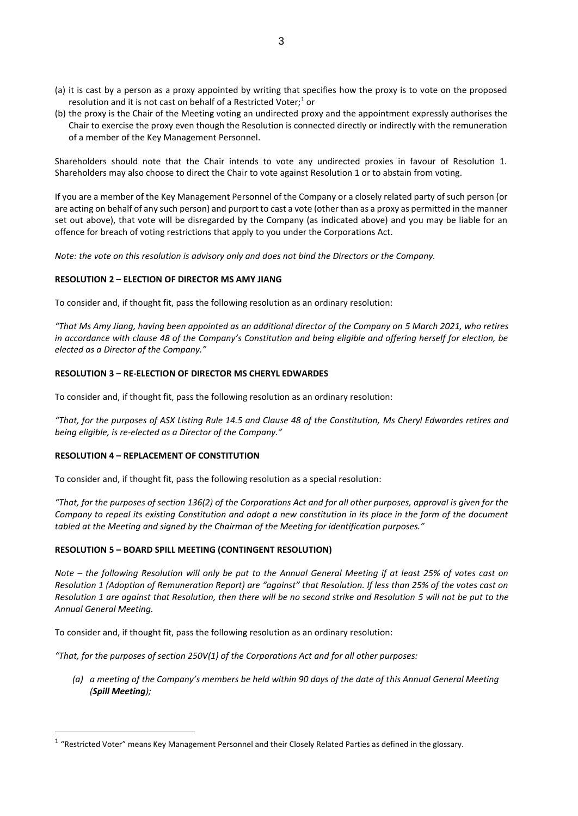- (a) it is cast by a person as a proxy appointed by writing that specifies how the proxy is to vote on the proposed resolution and it is not cast on behalf of a Restricted Voter; $1$  or
- (b) the proxy is the Chair of the Meeting voting an undirected proxy and the appointment expressly authorises the Chair to exercise the proxy even though the Resolution is connected directly or indirectly with the remuneration of a member of the Key Management Personnel.

Shareholders should note that the Chair intends to vote any undirected proxies in favour of Resolution 1. Shareholders may also choose to direct the Chair to vote against Resolution 1 or to abstain from voting.

If you are a member of the Key Management Personnel of the Company or a closely related party of such person (or are acting on behalf of any such person) and purport to cast a vote (other than as a proxy as permitted in the manner set out above), that vote will be disregarded by the Company (as indicated above) and you may be liable for an offence for breach of voting restrictions that apply to you under the Corporations Act.

*Note: the vote on this resolution is advisory only and does not bind the Directors or the Company.*

### **RESOLUTION 2 – ELECTION OF DIRECTOR MS AMY JIANG**

To consider and, if thought fit, pass the following resolution as an ordinary resolution:

*"That Ms Amy Jiang, having been appointed as an additional director of the Company on 5 March 2021, who retires in accordance with clause 48 of the Company's Constitution and being eligible and offering herself for election, be elected as a Director of the Company."*

### **RESOLUTION 3 – RE-ELECTION OF DIRECTOR MS CHERYL EDWARDES**

To consider and, if thought fit, pass the following resolution as an ordinary resolution:

*"That, for the purposes of ASX Listing Rule 14.5 and Clause 48 of the Constitution, Ms Cheryl Edwardes retires and being eligible, is re-elected as a Director of the Company."*

### **RESOLUTION 4 – REPLACEMENT OF CONSTITUTION**

To consider and, if thought fit, pass the following resolution as a special resolution:

*"That, for the purposes of section 136(2) of the Corporations Act and for all other purposes, approval is given for the Company to repeal its existing Constitution and adopt a new constitution in its place in the form of the document tabled at the Meeting and signed by the Chairman of the Meeting for identification purposes."*

### **RESOLUTION 5 – BOARD SPILL MEETING (CONTINGENT RESOLUTION)**

*Note – the following Resolution will only be put to the Annual General Meeting if at least 25% of votes cast on Resolution 1 (Adoption of Remuneration Report) are "against" that Resolution. If less than 25% of the votes cast on Resolution 1 are against that Resolution, then there will be no second strike and Resolution 5 will not be put to the Annual General Meeting.*

To consider and, if thought fit, pass the following resolution as an ordinary resolution:

*"That, for the purposes of section 250V(1) of the Corporations Act and for all other purposes:*

*(a) a meeting of the Company's members be held within 90 days of the date of this Annual General Meeting (Spill Meeting);*

 $1$  "Restricted Voter" means Key Management Personnel and their Closely Related Parties as defined in the glossary.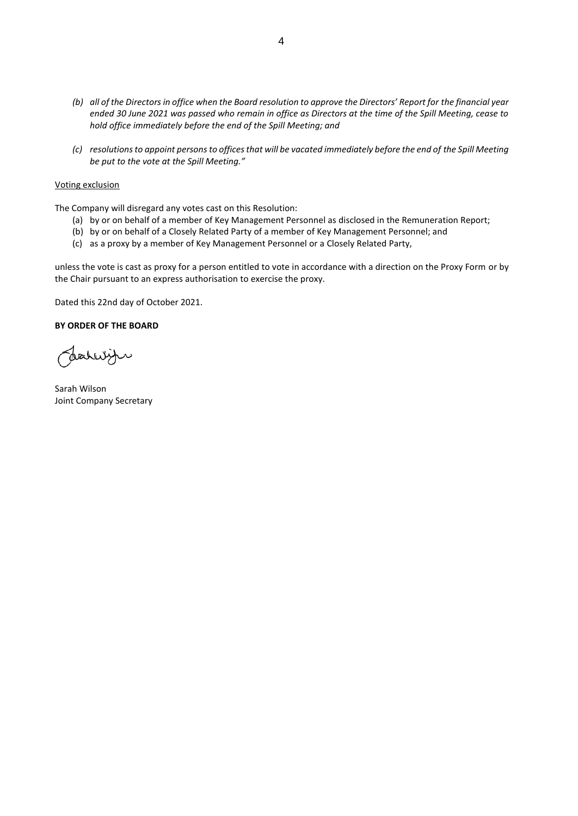- *(b) all of the Directors in office when the Board resolution to approve the Directors' Report for the financial year ended 30 June 2021 was passed who remain in office as Directors at the time of the Spill Meeting, cease to hold office immediately before the end of the Spill Meeting; and*
- *(c) resolutions to appoint persons to offices that will be vacated immediately before the end of the Spill Meeting be put to the vote at the Spill Meeting."*

#### Voting exclusion

The Company will disregard any votes cast on this Resolution:

- (a) by or on behalf of a member of Key Management Personnel as disclosed in the Remuneration Report;
- (b) by or on behalf of a Closely Related Party of a member of Key Management Personnel; and
- (c) as a proxy by a member of Key Management Personnel or a Closely Related Party,

unless the vote is cast as proxy for a person entitled to vote in accordance with a direction on the Proxy Form or by the Chair pursuant to an express authorisation to exercise the proxy.

Dated this 22nd day of October 2021.

#### **BY ORDER OF THE BOARD**

Joahryn

Sarah Wilson Joint Company Secretary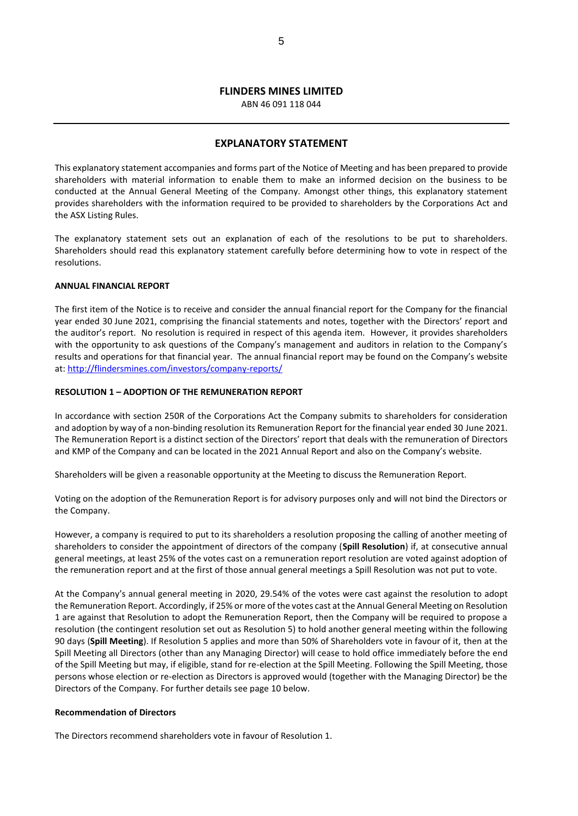# **FLINDERS MINES LIMITED**

ABN 46 091 118 044

#### **EXPLANATORY STATEMENT**

This explanatory statement accompanies and forms part of the Notice of Meeting and has been prepared to provide shareholders with material information to enable them to make an informed decision on the business to be conducted at the Annual General Meeting of the Company. Amongst other things, this explanatory statement provides shareholders with the information required to be provided to shareholders by the Corporations Act and the ASX Listing Rules.

The explanatory statement sets out an explanation of each of the resolutions to be put to shareholders. Shareholders should read this explanatory statement carefully before determining how to vote in respect of the resolutions.

#### **ANNUAL FINANCIAL REPORT**

The first item of the Notice is to receive and consider the annual financial report for the Company for the financial year ended 30 June 2021, comprising the financial statements and notes, together with the Directors' report and the auditor's report. No resolution is required in respect of this agenda item. However, it provides shareholders with the opportunity to ask questions of the Company's management and auditors in relation to the Company's results and operations for that financial year. The annual financial report may be found on the Company's website at: <http://flindersmines.com/investors/company-reports/>

#### **RESOLUTION 1 – ADOPTION OF THE REMUNERATION REPORT**

In accordance with section 250R of the Corporations Act the Company submits to shareholders for consideration and adoption by way of a non-binding resolution its Remuneration Report for the financial year ended 30 June 2021. The Remuneration Report is a distinct section of the Directors' report that deals with the remuneration of Directors and KMP of the Company and can be located in the 2021 Annual Report and also on the Company's website.

Shareholders will be given a reasonable opportunity at the Meeting to discuss the Remuneration Report.

Voting on the adoption of the Remuneration Report is for advisory purposes only and will not bind the Directors or the Company.

However, a company is required to put to its shareholders a resolution proposing the calling of another meeting of shareholders to consider the appointment of directors of the company (**Spill Resolution**) if, at consecutive annual general meetings, at least 25% of the votes cast on a remuneration report resolution are voted against adoption of the remuneration report and at the first of those annual general meetings a Spill Resolution was not put to vote.

At the Company's annual general meeting in 2020, 29.54% of the votes were cast against the resolution to adopt the Remuneration Report. Accordingly, if 25% or more of the votes cast at the Annual General Meeting on Resolution 1 are against that Resolution to adopt the Remuneration Report, then the Company will be required to propose a resolution (the contingent resolution set out as Resolution 5) to hold another general meeting within the following 90 days (**Spill Meeting**). If Resolution 5 applies and more than 50% of Shareholders vote in favour of it, then at the Spill Meeting all Directors (other than any Managing Director) will cease to hold office immediately before the end of the Spill Meeting but may, if eligible, stand for re-election at the Spill Meeting. Following the Spill Meeting, those persons whose election or re-election as Directors is approved would (together with the Managing Director) be the Directors of the Company. For further details see page 10 below.

#### **Recommendation of Directors**

The Directors recommend shareholders vote in favour of Resolution 1.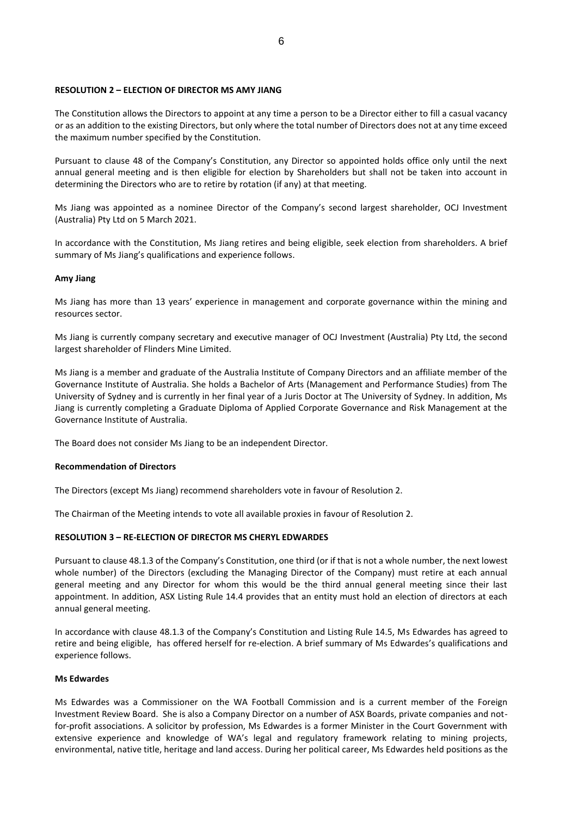#### **RESOLUTION 2 – ELECTION OF DIRECTOR MS AMY JIANG**

The Constitution allows the Directors to appoint at any time a person to be a Director either to fill a casual vacancy or as an addition to the existing Directors, but only where the total number of Directors does not at any time exceed the maximum number specified by the Constitution.

Pursuant to clause 48 of the Company's Constitution, any Director so appointed holds office only until the next annual general meeting and is then eligible for election by Shareholders but shall not be taken into account in determining the Directors who are to retire by rotation (if any) at that meeting.

Ms Jiang was appointed as a nominee Director of the Company's second largest shareholder, OCJ Investment (Australia) Pty Ltd on 5 March 2021.

In accordance with the Constitution, Ms Jiang retires and being eligible, seek election from shareholders. A brief summary of Ms Jiang's qualifications and experience follows.

#### **Amy Jiang**

Ms Jiang has more than 13 years' experience in management and corporate governance within the mining and resources sector.

Ms Jiang is currently company secretary and executive manager of OCJ Investment (Australia) Pty Ltd, the second largest shareholder of Flinders Mine Limited.

Ms Jiang is a member and graduate of the Australia Institute of Company Directors and an affiliate member of the Governance Institute of Australia. She holds a Bachelor of Arts (Management and Performance Studies) from The University of Sydney and is currently in her final year of a Juris Doctor at The University of Sydney. In addition, Ms Jiang is currently completing a Graduate Diploma of Applied Corporate Governance and Risk Management at the Governance Institute of Australia.

The Board does not consider Ms Jiang to be an independent Director.

#### **Recommendation of Directors**

The Directors (except Ms Jiang) recommend shareholders vote in favour of Resolution 2.

The Chairman of the Meeting intends to vote all available proxies in favour of Resolution 2.

#### **RESOLUTION 3 – RE-ELECTION OF DIRECTOR MS CHERYL EDWARDES**

Pursuant to clause 48.1.3 of the Company's Constitution, one third (or if that is not a whole number, the next lowest whole number) of the Directors (excluding the Managing Director of the Company) must retire at each annual general meeting and any Director for whom this would be the third annual general meeting since their last appointment. In addition, ASX Listing Rule 14.4 provides that an entity must hold an election of directors at each annual general meeting.

In accordance with clause 48.1.3 of the Company's Constitution and Listing Rule 14.5, Ms Edwardes has agreed to retire and being eligible, has offered herself for re-election. A brief summary of Ms Edwardes's qualifications and experience follows.

#### **Ms Edwardes**

Ms Edwardes was a Commissioner on the WA Football Commission and is a current member of the Foreign Investment Review Board. She is also a Company Director on a number of ASX Boards, private companies and notfor-profit associations. A solicitor by profession, Ms Edwardes is a former Minister in the Court Government with extensive experience and knowledge of WA's legal and regulatory framework relating to mining projects, environmental, native title, heritage and land access. During her political career, Ms Edwardes held positions as the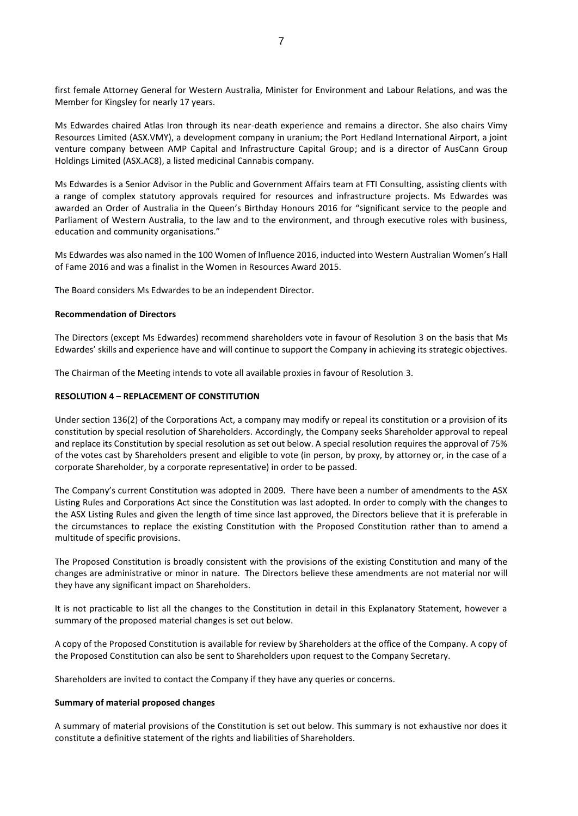first female Attorney General for Western Australia, Minister for Environment and Labour Relations, and was the Member for Kingsley for nearly 17 years.

Ms Edwardes chaired Atlas Iron through its near-death experience and remains a director. She also chairs Vimy Resources Limited (ASX.VMY), a development company in uranium; the Port Hedland International Airport, a joint venture company between AMP Capital and Infrastructure Capital Group; and is a director of AusCann Group Holdings Limited (ASX.AC8), a listed medicinal Cannabis company.

Ms Edwardes is a Senior Advisor in the Public and Government Affairs team at FTI Consulting, assisting clients with a range of complex statutory approvals required for resources and infrastructure projects. Ms Edwardes was awarded an Order of Australia in the Queen's Birthday Honours 2016 for "significant service to the people and Parliament of Western Australia, to the law and to the environment, and through executive roles with business, education and community organisations."

Ms Edwardes was also named in the 100 Women of Influence 2016, inducted into Western Australian Women's Hall of Fame 2016 and was a finalist in the Women in Resources Award 2015.

The Board considers Ms Edwardes to be an independent Director.

#### **Recommendation of Directors**

The Directors (except Ms Edwardes) recommend shareholders vote in favour of Resolution 3 on the basis that Ms Edwardes' skills and experience have and will continue to support the Company in achieving its strategic objectives.

The Chairman of the Meeting intends to vote all available proxies in favour of Resolution 3.

### **RESOLUTION 4 – REPLACEMENT OF CONSTITUTION**

Under section 136(2) of the Corporations Act, a company may modify or repeal its constitution or a provision of its constitution by special resolution of Shareholders. Accordingly, the Company seeks Shareholder approval to repeal and replace its Constitution by special resolution as set out below. A special resolution requires the approval of 75% of the votes cast by Shareholders present and eligible to vote (in person, by proxy, by attorney or, in the case of a corporate Shareholder, by a corporate representative) in order to be passed.

The Company's current Constitution was adopted in 2009. There have been a number of amendments to the ASX Listing Rules and Corporations Act since the Constitution was last adopted. In order to comply with the changes to the ASX Listing Rules and given the length of time since last approved, the Directors believe that it is preferable in the circumstances to replace the existing Constitution with the Proposed Constitution rather than to amend a multitude of specific provisions.

The Proposed Constitution is broadly consistent with the provisions of the existing Constitution and many of the changes are administrative or minor in nature. The Directors believe these amendments are not material nor will they have any significant impact on Shareholders.

It is not practicable to list all the changes to the Constitution in detail in this Explanatory Statement, however a summary of the proposed material changes is set out below.

A copy of the Proposed Constitution is available for review by Shareholders at the office of the Company. A copy of the Proposed Constitution can also be sent to Shareholders upon request to the Company Secretary.

Shareholders are invited to contact the Company if they have any queries or concerns.

### **Summary of material proposed changes**

A summary of material provisions of the Constitution is set out below. This summary is not exhaustive nor does it constitute a definitive statement of the rights and liabilities of Shareholders.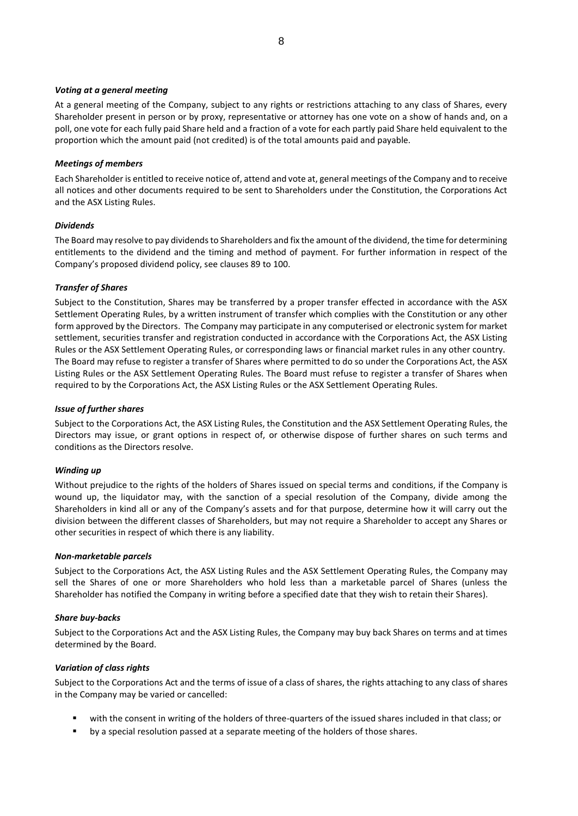#### *Voting at a general meeting*

At a general meeting of the Company, subject to any rights or restrictions attaching to any class of Shares, every Shareholder present in person or by proxy, representative or attorney has one vote on a show of hands and, on a poll, one vote for each fully paid Share held and a fraction of a vote for each partly paid Share held equivalent to the proportion which the amount paid (not credited) is of the total amounts paid and payable.

#### *Meetings of members*

Each Shareholder is entitled to receive notice of, attend and vote at, general meetings of the Company and to receive all notices and other documents required to be sent to Shareholders under the Constitution, the Corporations Act and the ASX Listing Rules.

#### *Dividends*

The Board may resolve to pay dividends to Shareholders and fix the amount of the dividend, the time for determining entitlements to the dividend and the timing and method of payment. For further information in respect of the Company's proposed dividend policy, see clauses 89 to 100.

### *Transfer of Shares*

Subject to the Constitution, Shares may be transferred by a proper transfer effected in accordance with the ASX Settlement Operating Rules, by a written instrument of transfer which complies with the Constitution or any other form approved by the Directors. The Company may participate in any computerised or electronic system for market settlement, securities transfer and registration conducted in accordance with the Corporations Act, the ASX Listing Rules or the ASX Settlement Operating Rules, or corresponding laws or financial market rules in any other country. The Board may refuse to register a transfer of Shares where permitted to do so under the Corporations Act, the ASX Listing Rules or the ASX Settlement Operating Rules. The Board must refuse to register a transfer of Shares when required to by the Corporations Act, the ASX Listing Rules or the ASX Settlement Operating Rules.

#### *Issue of further shares*

Subject to the Corporations Act, the ASX Listing Rules, the Constitution and the ASX Settlement Operating Rules, the Directors may issue, or grant options in respect of, or otherwise dispose of further shares on such terms and conditions as the Directors resolve.

### *Winding up*

Without prejudice to the rights of the holders of Shares issued on special terms and conditions, if the Company is wound up, the liquidator may, with the sanction of a special resolution of the Company, divide among the Shareholders in kind all or any of the Company's assets and for that purpose, determine how it will carry out the division between the different classes of Shareholders, but may not require a Shareholder to accept any Shares or other securities in respect of which there is any liability.

#### *Non-marketable parcels*

Subject to the Corporations Act, the ASX Listing Rules and the ASX Settlement Operating Rules, the Company may sell the Shares of one or more Shareholders who hold less than a marketable parcel of Shares (unless the Shareholder has notified the Company in writing before a specified date that they wish to retain their Shares).

### *Share buy-backs*

Subject to the Corporations Act and the ASX Listing Rules, the Company may buy back Shares on terms and at times determined by the Board.

#### *Variation of class rights*

Subject to the Corporations Act and the terms of issue of a class of shares, the rights attaching to any class of shares in the Company may be varied or cancelled:

- with the consent in writing of the holders of three-quarters of the issued shares included in that class; or
- by a special resolution passed at a separate meeting of the holders of those shares.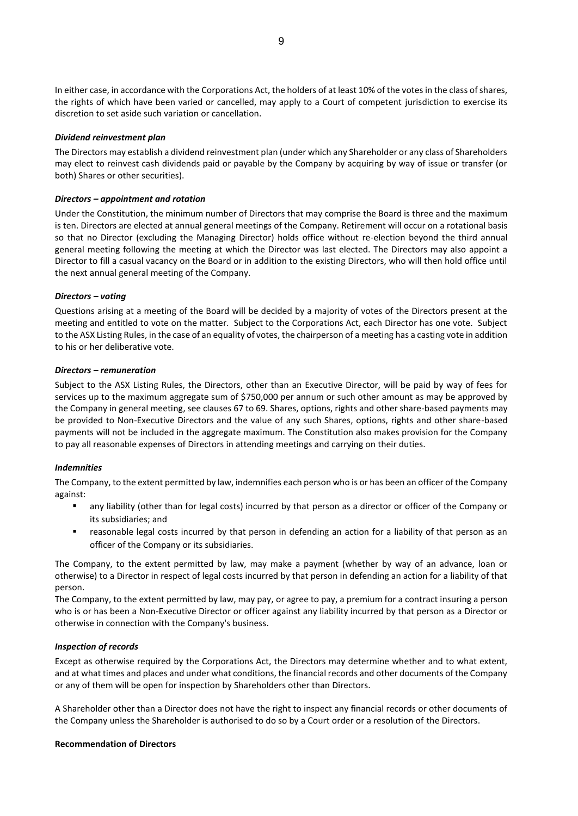In either case, in accordance with the Corporations Act, the holders of at least 10% of the votes in the class of shares, the rights of which have been varied or cancelled, may apply to a Court of competent jurisdiction to exercise its discretion to set aside such variation or cancellation.

#### *Dividend reinvestment plan*

The Directors may establish a dividend reinvestment plan (under which any Shareholder or any class of Shareholders may elect to reinvest cash dividends paid or payable by the Company by acquiring by way of issue or transfer (or both) Shares or other securities).

#### *Directors – appointment and rotation*

Under the Constitution, the minimum number of Directors that may comprise the Board is three and the maximum is ten. Directors are elected at annual general meetings of the Company. Retirement will occur on a rotational basis so that no Director (excluding the Managing Director) holds office without re-election beyond the third annual general meeting following the meeting at which the Director was last elected. The Directors may also appoint a Director to fill a casual vacancy on the Board or in addition to the existing Directors, who will then hold office until the next annual general meeting of the Company.

#### *Directors – voting*

Questions arising at a meeting of the Board will be decided by a majority of votes of the Directors present at the meeting and entitled to vote on the matter. Subject to the Corporations Act, each Director has one vote. Subject to the ASX Listing Rules, in the case of an equality of votes, the chairperson of a meeting has a casting vote in addition to his or her deliberative vote.

#### *Directors – remuneration*

Subject to the ASX Listing Rules, the Directors, other than an Executive Director, will be paid by way of fees for services up to the maximum aggregate sum of \$750,000 per annum or such other amount as may be approved by the Company in general meeting, see clauses 67 to 69. Shares, options, rights and other share-based payments may be provided to Non-Executive Directors and the value of any such Shares, options, rights and other share-based payments will not be included in the aggregate maximum. The Constitution also makes provision for the Company to pay all reasonable expenses of Directors in attending meetings and carrying on their duties.

#### *Indemnities*

The Company, to the extent permitted by law, indemnifies each person who is or has been an officer of the Company against:

- any liability (other than for legal costs) incurred by that person as a director or officer of the Company or its subsidiaries; and
- reasonable legal costs incurred by that person in defending an action for a liability of that person as an officer of the Company or its subsidiaries.

The Company, to the extent permitted by law, may make a payment (whether by way of an advance, loan or otherwise) to a Director in respect of legal costs incurred by that person in defending an action for a liability of that person.

The Company, to the extent permitted by law, may pay, or agree to pay, a premium for a contract insuring a person who is or has been a Non-Executive Director or officer against any liability incurred by that person as a Director or otherwise in connection with the Company's business.

### *Inspection of records*

Except as otherwise required by the Corporations Act, the Directors may determine whether and to what extent, and at what times and places and under what conditions, the financial records and other documents of the Company or any of them will be open for inspection by Shareholders other than Directors.

A Shareholder other than a Director does not have the right to inspect any financial records or other documents of the Company unless the Shareholder is authorised to do so by a Court order or a resolution of the Directors.

#### **Recommendation of Directors**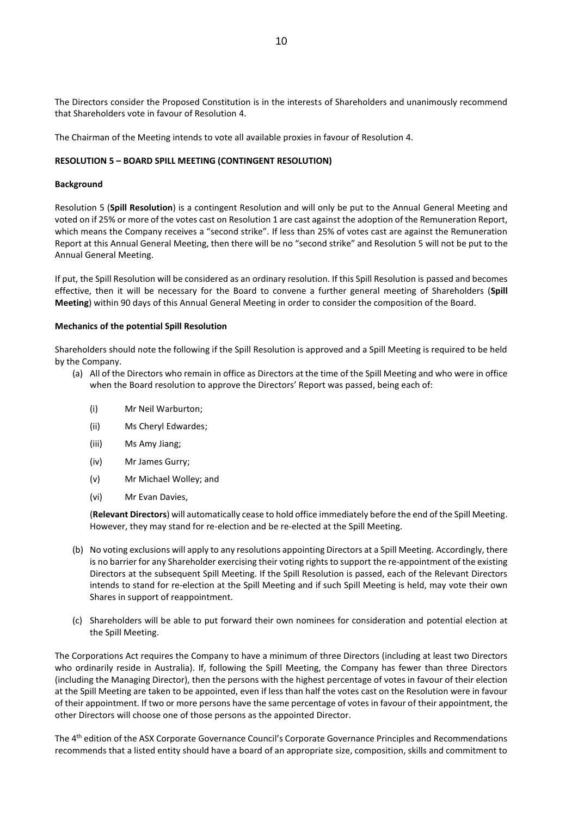The Directors consider the Proposed Constitution is in the interests of Shareholders and unanimously recommend that Shareholders vote in favour of Resolution 4.

The Chairman of the Meeting intends to vote all available proxies in favour of Resolution 4.

#### **RESOLUTION 5 – BOARD SPILL MEETING (CONTINGENT RESOLUTION)**

#### **Background**

Resolution 5 (**Spill Resolution**) is a contingent Resolution and will only be put to the Annual General Meeting and voted on if 25% or more of the votes cast on Resolution 1 are cast against the adoption of the Remuneration Report, which means the Company receives a "second strike". If less than 25% of votes cast are against the Remuneration Report at this Annual General Meeting, then there will be no "second strike" and Resolution 5 will not be put to the Annual General Meeting.

If put, the Spill Resolution will be considered as an ordinary resolution. If this Spill Resolution is passed and becomes effective, then it will be necessary for the Board to convene a further general meeting of Shareholders (**Spill Meeting**) within 90 days of this Annual General Meeting in order to consider the composition of the Board.

#### **Mechanics of the potential Spill Resolution**

Shareholders should note the following if the Spill Resolution is approved and a Spill Meeting is required to be held by the Company.

- (a) All of the Directors who remain in office as Directors at the time of the Spill Meeting and who were in office when the Board resolution to approve the Directors' Report was passed, being each of:
	- (i) Mr Neil Warburton;
	- (ii) Ms Cheryl Edwardes;
	- (iii) Ms Amy Jiang;
	- (iv) Mr James Gurry;
	- (v) Mr Michael Wolley; and
	- (vi) Mr Evan Davies,

(**Relevant Directors**) will automatically cease to hold office immediately before the end of the Spill Meeting. However, they may stand for re-election and be re-elected at the Spill Meeting.

- (b) No voting exclusions will apply to any resolutions appointing Directors at a Spill Meeting. Accordingly, there is no barrier for any Shareholder exercising their voting rights to support the re-appointment of the existing Directors at the subsequent Spill Meeting. If the Spill Resolution is passed, each of the Relevant Directors intends to stand for re-election at the Spill Meeting and if such Spill Meeting is held, may vote their own Shares in support of reappointment.
- (c) Shareholders will be able to put forward their own nominees for consideration and potential election at the Spill Meeting.

The Corporations Act requires the Company to have a minimum of three Directors (including at least two Directors who ordinarily reside in Australia). If, following the Spill Meeting, the Company has fewer than three Directors (including the Managing Director), then the persons with the highest percentage of votes in favour of their election at the Spill Meeting are taken to be appointed, even if less than half the votes cast on the Resolution were in favour of their appointment. If two or more persons have the same percentage of votes in favour of their appointment, the other Directors will choose one of those persons as the appointed Director.

The 4<sup>th</sup> edition of the ASX Corporate Governance Council's Corporate Governance Principles and Recommendations recommends that a listed entity should have a board of an appropriate size, composition, skills and commitment to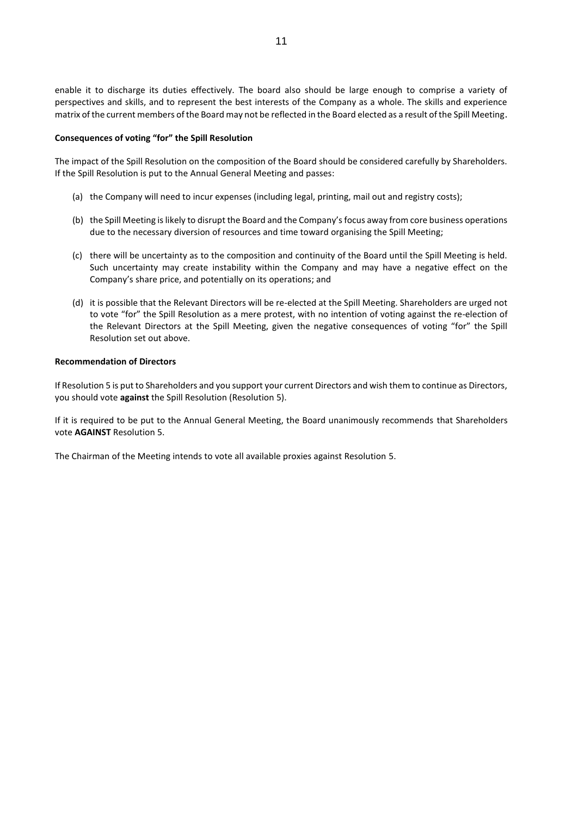enable it to discharge its duties effectively. The board also should be large enough to comprise a variety of perspectives and skills, and to represent the best interests of the Company as a whole. The skills and experience matrix of the current members of the Board may not be reflected in the Board elected as a result of the Spill Meeting.

#### **Consequences of voting "for" the Spill Resolution**

The impact of the Spill Resolution on the composition of the Board should be considered carefully by Shareholders. If the Spill Resolution is put to the Annual General Meeting and passes:

- (a) the Company will need to incur expenses (including legal, printing, mail out and registry costs);
- (b) the Spill Meeting is likely to disrupt the Board and the Company's focus away from core business operations due to the necessary diversion of resources and time toward organising the Spill Meeting;
- (c) there will be uncertainty as to the composition and continuity of the Board until the Spill Meeting is held. Such uncertainty may create instability within the Company and may have a negative effect on the Company's share price, and potentially on its operations; and
- (d) it is possible that the Relevant Directors will be re-elected at the Spill Meeting. Shareholders are urged not to vote "for" the Spill Resolution as a mere protest, with no intention of voting against the re-election of the Relevant Directors at the Spill Meeting, given the negative consequences of voting "for" the Spill Resolution set out above.

#### **Recommendation of Directors**

If Resolution 5 is put to Shareholders and you support your current Directors and wish them to continue as Directors, you should vote **against** the Spill Resolution (Resolution 5).

If it is required to be put to the Annual General Meeting, the Board unanimously recommends that Shareholders vote **AGAINST** Resolution 5.

The Chairman of the Meeting intends to vote all available proxies against Resolution 5.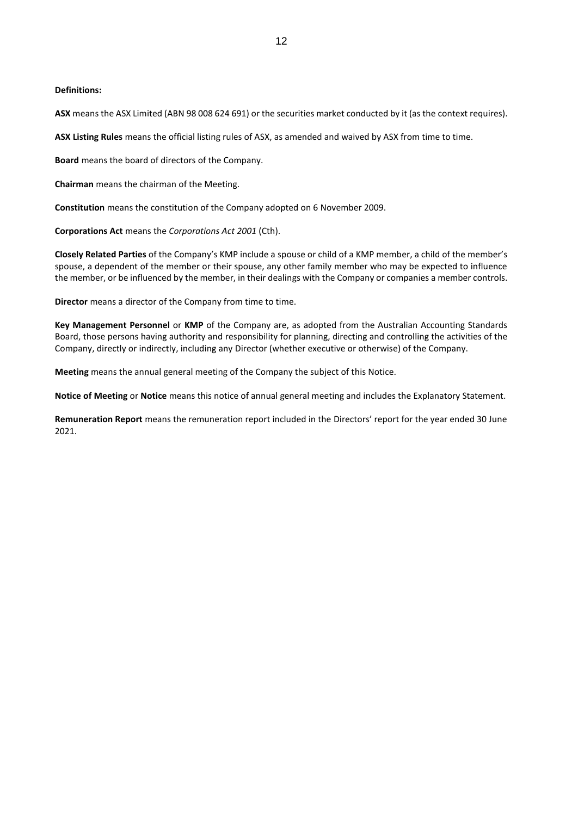#### **Definitions:**

**ASX** means the ASX Limited (ABN 98 008 624 691) or the securities market conducted by it (as the context requires).

**ASX Listing Rules** means the official listing rules of ASX, as amended and waived by ASX from time to time.

**Board** means the board of directors of the Company.

**Chairman** means the chairman of the Meeting.

**Constitution** means the constitution of the Company adopted on 6 November 2009.

**Corporations Act** means the *Corporations Act 2001* (Cth).

**Closely Related Parties** of the Company's KMP include a spouse or child of a KMP member, a child of the member's spouse, a dependent of the member or their spouse, any other family member who may be expected to influence the member, or be influenced by the member, in their dealings with the Company or companies a member controls.

**Director** means a director of the Company from time to time.

**Key Management Personnel** or **KMP** of the Company are, as adopted from the Australian Accounting Standards Board, those persons having authority and responsibility for planning, directing and controlling the activities of the Company, directly or indirectly, including any Director (whether executive or otherwise) of the Company.

**Meeting** means the annual general meeting of the Company the subject of this Notice.

**Notice of Meeting** or **Notice** means this notice of annual general meeting and includes the Explanatory Statement.

**Remuneration Report** means the remuneration report included in the Directors' report for the year ended 30 June 2021.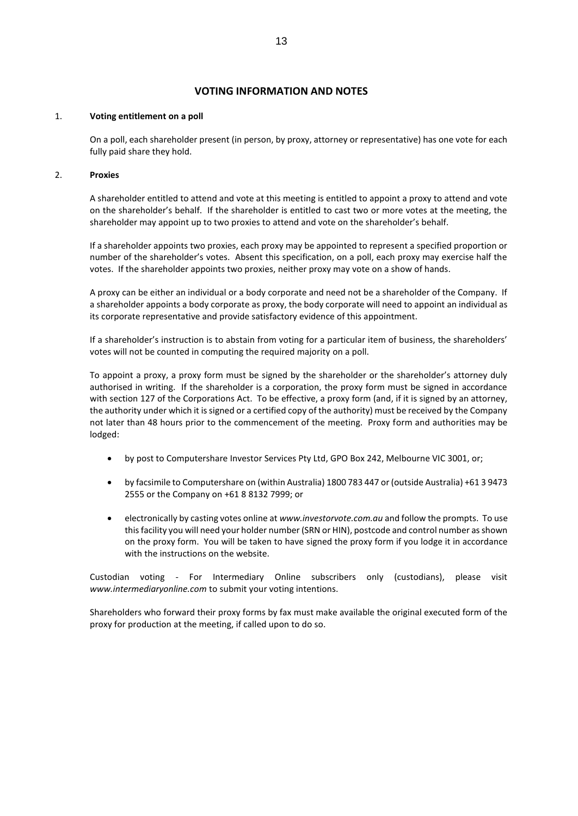# **VOTING INFORMATION AND NOTES**

#### 1. **Voting entitlement on a poll**

On a poll, each shareholder present (in person, by proxy, attorney or representative) has one vote for each fully paid share they hold.

#### 2. **Proxies**

A shareholder entitled to attend and vote at this meeting is entitled to appoint a proxy to attend and vote on the shareholder's behalf. If the shareholder is entitled to cast two or more votes at the meeting, the shareholder may appoint up to two proxies to attend and vote on the shareholder's behalf.

If a shareholder appoints two proxies, each proxy may be appointed to represent a specified proportion or number of the shareholder's votes. Absent this specification, on a poll, each proxy may exercise half the votes. If the shareholder appoints two proxies, neither proxy may vote on a show of hands.

A proxy can be either an individual or a body corporate and need not be a shareholder of the Company. If a shareholder appoints a body corporate as proxy, the body corporate will need to appoint an individual as its corporate representative and provide satisfactory evidence of this appointment.

If a shareholder's instruction is to abstain from voting for a particular item of business, the shareholders' votes will not be counted in computing the required majority on a poll.

To appoint a proxy, a proxy form must be signed by the shareholder or the shareholder's attorney duly authorised in writing. If the shareholder is a corporation, the proxy form must be signed in accordance with section 127 of the Corporations Act. To be effective, a proxy form (and, if it is signed by an attorney, the authority under which it is signed or a certified copy of the authority) must be received by the Company not later than 48 hours prior to the commencement of the meeting. Proxy form and authorities may be lodged:

- by post to Computershare Investor Services Pty Ltd, GPO Box 242, Melbourne VIC 3001, or;
- by facsimile to Computershare on (within Australia) 1800 783 447 or (outside Australia) +61 3 9473 2555 or the Company on +61 8 8132 7999; or
- electronically by casting votes online at *www.investorvote.com.au* and follow the prompts. To use this facility you will need your holder number (SRN or HIN), postcode and control number as shown on the proxy form. You will be taken to have signed the proxy form if you lodge it in accordance with the instructions on the website.

Custodian voting - For Intermediary Online subscribers only (custodians), please visit *www.intermediaryonline.com* to submit your voting intentions.

Shareholders who forward their proxy forms by fax must make available the original executed form of the proxy for production at the meeting, if called upon to do so.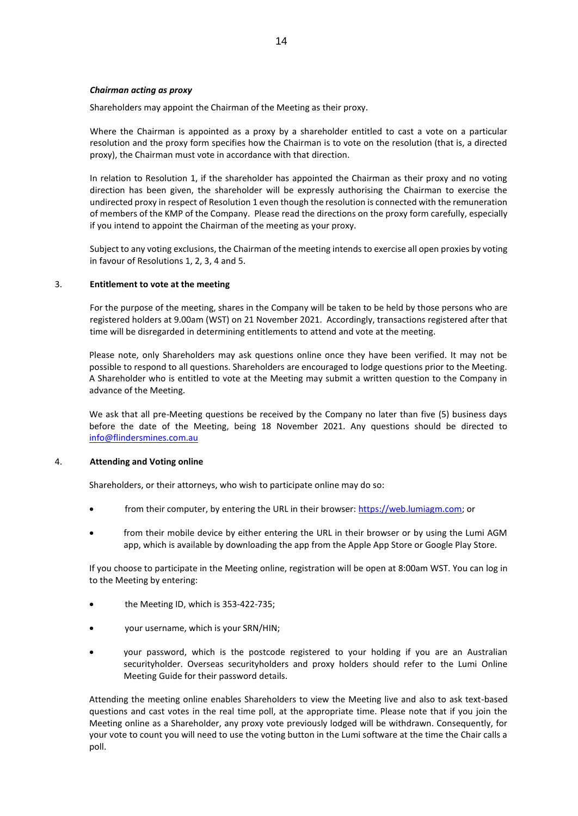#### *Chairman acting as proxy*

Shareholders may appoint the Chairman of the Meeting as their proxy.

Where the Chairman is appointed as a proxy by a shareholder entitled to cast a vote on a particular resolution and the proxy form specifies how the Chairman is to vote on the resolution (that is, a directed proxy), the Chairman must vote in accordance with that direction.

In relation to Resolution 1, if the shareholder has appointed the Chairman as their proxy and no voting direction has been given, the shareholder will be expressly authorising the Chairman to exercise the undirected proxy in respect of Resolution 1 even though the resolution is connected with the remuneration of members of the KMP of the Company. Please read the directions on the proxy form carefully, especially if you intend to appoint the Chairman of the meeting as your proxy.

Subject to any voting exclusions, the Chairman of the meeting intends to exercise all open proxies by voting in favour of Resolutions 1, 2, 3, 4 and 5.

#### 3. **Entitlement to vote at the meeting**

For the purpose of the meeting, shares in the Company will be taken to be held by those persons who are registered holders at 9.00am (WST) on 21 November 2021. Accordingly, transactions registered after that time will be disregarded in determining entitlements to attend and vote at the meeting.

Please note, only Shareholders may ask questions online once they have been verified. It may not be possible to respond to all questions. Shareholders are encouraged to lodge questions prior to the Meeting. A Shareholder who is entitled to vote at the Meeting may submit a written question to the Company in advance of the Meeting.

We ask that all pre-Meeting questions be received by the Company no later than five (5) business days before the date of the Meeting, being 18 November 2021. Any questions should be directed to [info@flindersmines.com.au](mailto:info@flindersmines.com.au)

#### 4. **Attending and Voting online**

Shareholders, or their attorneys, who wish to participate online may do so:

- from their computer, by entering the URL in their browser[: https://web.lumiagm.com;](https://web.lumiagm.com/) or
- from their mobile device by either entering the URL in their browser or by using the Lumi AGM app, which is available by downloading the app from the Apple App Store or Google Play Store.

If you choose to participate in the Meeting online, registration will be open at 8:00am WST. You can log in to the Meeting by entering:

- the Meeting ID, which is 353-422-735;
- your username, which is your SRN/HIN;
- your password, which is the postcode registered to your holding if you are an Australian securityholder. Overseas securityholders and proxy holders should refer to the Lumi Online Meeting Guide for their password details.

Attending the meeting online enables Shareholders to view the Meeting live and also to ask text-based questions and cast votes in the real time poll, at the appropriate time. Please note that if you join the Meeting online as a Shareholder, any proxy vote previously lodged will be withdrawn. Consequently, for your vote to count you will need to use the voting button in the Lumi software at the time the Chair calls a poll.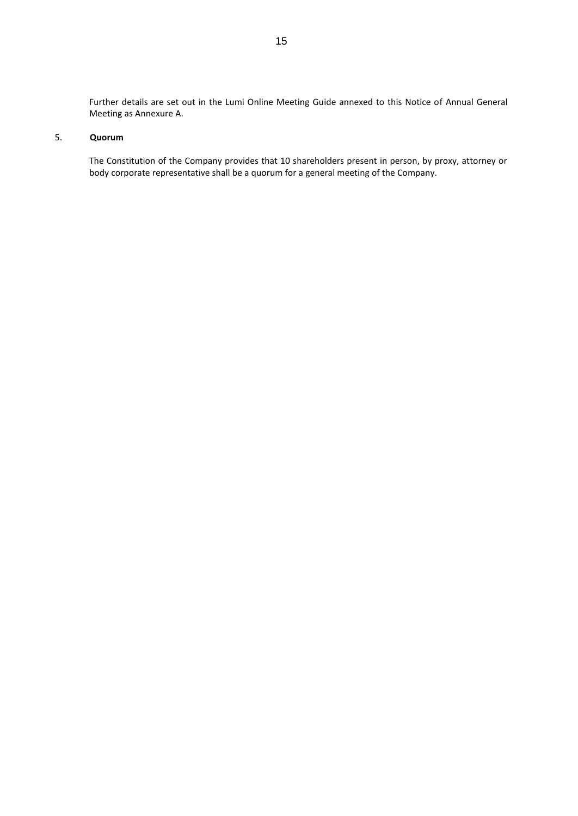Further details are set out in the Lumi Online Meeting Guide annexed to this Notice of Annual General Meeting as Annexure A.

# 5. **Quorum**

The Constitution of the Company provides that 10 shareholders present in person, by proxy, attorney or body corporate representative shall be a quorum for a general meeting of the Company.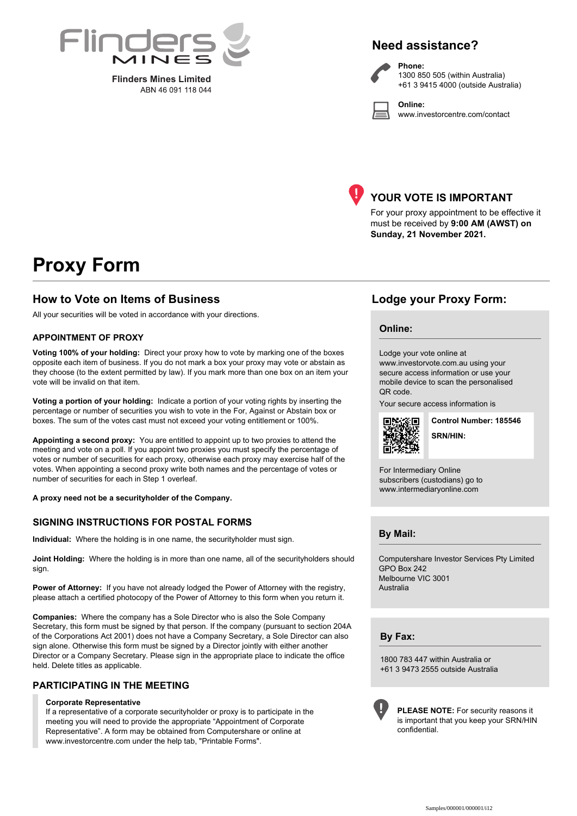

**Flinders Mines Limited**<br>ABN 46 091 118 044

# **Need assistance?**

**Phone:**

**Online:**



1300 850 505 (within Australia) +61 3 9415 4000 (outside Australia)

www.investorcentre.com/contact



# **YOUR VOTE IS IMPORTANT**

For your proxy appointment to be effective it must be received by **9:00 AM (AWST) on Sunday, 21 November 2021.**

# **Proxy Form**

# **How to Vote on Items of Business Lodge your Proxy Form:**

All your securities will be voted in accordance with your directions.

#### **APPOINTMENT OF PROXY**

**Voting 100% of your holding:** Direct your proxy how to vote by marking one of the boxes opposite each item of business. If you do not mark a box your proxy may vote or abstain as they choose (to the extent permitted by law). If you mark more than one box on an item your vote will be invalid on that item.

**Voting a portion of your holding:** Indicate a portion of your voting rights by inserting the percentage or number of securities you wish to vote in the For, Against or Abstain box or boxes. The sum of the votes cast must not exceed your voting entitlement or 100%.

**Appointing a second proxy:** You are entitled to appoint up to two proxies to attend the meeting and vote on a poll. If you appoint two proxies you must specify the percentage of votes or number of securities for each proxy, otherwise each proxy may exercise half of the votes. When appointing a second proxy write both names and the percentage of votes or number of securities for each in Step 1 overleaf.

**A proxy need not be a securityholder of the Company.**

### **SIGNING INSTRUCTIONS FOR POSTAL FORMS**

**Individual:** Where the holding is in one name, the securityholder must sign.

**Joint Holding:** Where the holding is in more than one name, all of the securityholders should sign.

**Power of Attorney:** If you have not already lodged the Power of Attorney with the registry, please attach a certified photocopy of the Power of Attorney to this form when you return it.

**Companies:** Where the company has a Sole Director who is also the Sole Company Secretary, this form must be signed by that person. If the company (pursuant to section 204A of the Corporations Act 2001) does not have a Company Secretary, a Sole Director can also sign alone. Otherwise this form must be signed by a Director jointly with either another Director or a Company Secretary. Please sign in the appropriate place to indicate the office held. Delete titles as applicable.

### **PARTICIPATING IN THE MEETING**

#### **Corporate Representative**

If a representative of a corporate securityholder or proxy is to participate in the meeting you will need to provide the appropriate "Appointment of Corporate Representative". A form may be obtained from Computershare or online at www.investorcentre.com under the help tab, "Printable Forms".

#### **Online:**

Lodge your vote online at

www.investorvote.com.au using your secure access information or use your mobile device to scan the personalised QR code.

Your secure access information is



**SRN/HIN: Control Number: 185546**

For Intermediary Online subscribers (custodians) go to www.intermediaryonline.com

**By Mail:**

Computershare Investor Services Pty Limited GPO Box 242 Melbourne VIC 3001 Australia

**By Fax:**

1800 783 447 within Australia or +61 3 9473 2555 outside Australia



**PLEASE NOTE:** For security reasons it is important that you keep your SRN/HIN confidential.